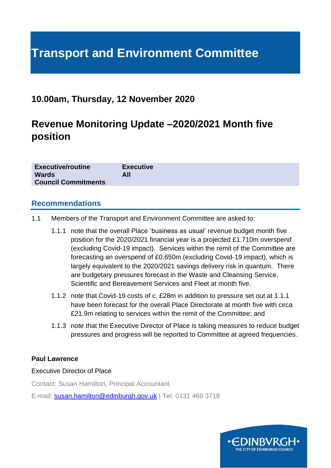# **Transport and Environment Committee**

# **10.00am, Thursday, 12 November 2020**

# **Revenue Monitoring Update –2020/2021 Month five position**

| <b>Executive/routine</b>   | <b>Executive</b> |
|----------------------------|------------------|
| <b>Wards</b>               | All              |
| <b>Council Commitments</b> |                  |

#### **Recommendations**

- 1.1 Members of the Transport and Environment Committee are asked to:
	- 1.1.1 note that the overall Place 'business as usual' revenue budget month five position for the 2020/2021 financial year is a projected £1.710m overspend (excluding Covid-19 impact). Services within the remit of the Committee are forecasting an overspend of £0.650m (excluding Covid-19 impact), which is largely equivalent to the 2020/2021 savings delivery risk in quantum. There are budgetary pressures forecast in the Waste and Cleansing Service, Scientific and Bereavement Services and Fleet at month five.
	- 1.1.2 note that Covid-19 costs of c. £28m in addition to pressure set out at 1.1.1 have been forecast for the overall Place Directorate at month five with circa £21.9m relating to services within the remit of the Committee; and
	- 1.1.3 note that the Executive Director of Place is taking measures to reduce budget pressures and progress will be reported to Committee at agreed frequencies.

#### **Paul Lawrence**

#### Executive Director of Place

Contact: Susan Hamilton, Principal Accountant

E-mail: [susan.hamilton@edinburgh.gov.uk](mailto:susan.hamilton@edinburgh.gov.uk) | Tel: 0131 469 3718

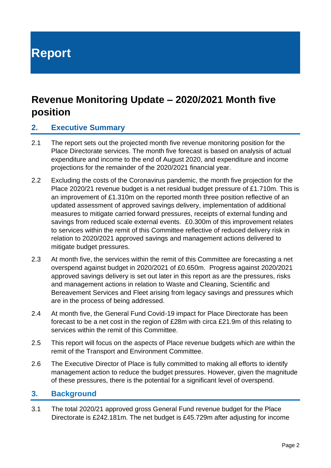# **Report**

# **Revenue Monitoring Update – 2020/2021 Month five position**

#### **2. Executive Summary**

- 2.1 The report sets out the projected month five revenue monitoring position for the Place Directorate services. The month five forecast is based on analysis of actual expenditure and income to the end of August 2020, and expenditure and income projections for the remainder of the 2020/2021 financial year.
- 2.2 Excluding the costs of the Coronavirus pandemic, the month five projection for the Place 2020/21 revenue budget is a net residual budget pressure of £1.710m. This is an improvement of £1.310m on the reported month three position reflective of an updated assessment of approved savings delivery, implementation of additional measures to mitigate carried forward pressures, receipts of external funding and savings from reduced scale external events. £0.300m of this improvement relates to services within the remit of this Committee reflective of reduced delivery risk in relation to 2020/2021 approved savings and management actions delivered to mitigate budget pressures.
- 2.3 At month five, the services within the remit of this Committee are forecasting a net overspend against budget in 2020/2021 of £0.650m. Progress against 2020/2021 approved savings delivery is set out later in this report as are the pressures, risks and management actions in relation to Waste and Cleaning, Scientific and Bereavement Services and Fleet arising from legacy savings and pressures which are in the process of being addressed.
- 2.4 At month five, the General Fund Covid-19 impact for Place Directorate has been forecast to be a net cost in the region of £28m with circa £21.9m of this relating to services within the remit of this Committee.
- 2.5 This report will focus on the aspects of Place revenue budgets which are within the remit of the Transport and Environment Committee.
- 2.6 The Executive Director of Place is fully committed to making all efforts to identify management action to reduce the budget pressures. However, given the magnitude of these pressures, there is the potential for a significant level of overspend.

#### **3. Background**

3.1 The total 2020/21 approved gross General Fund revenue budget for the Place Directorate is £242.181m. The net budget is £45.729m after adjusting for income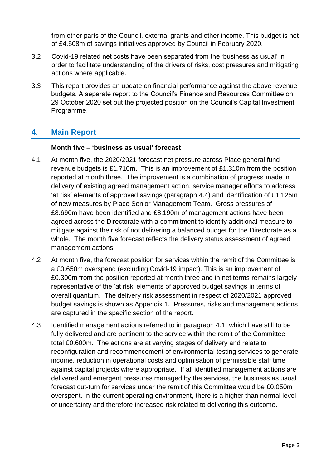from other parts of the Council, external grants and other income. This budget is net of £4.508m of savings initiatives approved by Council in February 2020.

- 3.2 Covid-19 related net costs have been separated from the 'business as usual' in order to facilitate understanding of the drivers of risks, cost pressures and mitigating actions where applicable.
- 3.3 This report provides an update on financial performance against the above revenue budgets. A separate report to the Council's Finance and Resources Committee on 29 October 2020 set out the projected position on the Council's Capital Investment Programme.

### **4. Main Report**

#### **Month five – 'business as usual' forecast**

- 4.1 At month five, the 2020/2021 forecast net pressure across Place general fund revenue budgets is £1.710m. This is an improvement of £1.310m from the position reported at month three. The improvement is a combination of progress made in delivery of existing agreed management action, service manager efforts to address 'at risk' elements of approved savings (paragraph 4.4) and identification of £1.125m of new measures by Place Senior Management Team. Gross pressures of £8.690m have been identified and £8.190m of management actions have been agreed across the Directorate with a commitment to identify additional measure to mitigate against the risk of not delivering a balanced budget for the Directorate as a whole. The month five forecast reflects the delivery status assessment of agreed management actions.
- 4.2 At month five, the forecast position for services within the remit of the Committee is a £0.650m overspend (excluding Covid-19 impact). This is an improvement of £0.300m from the position reported at month three and in net terms remains largely representative of the 'at risk' elements of approved budget savings in terms of overall quantum. The delivery risk assessment in respect of 2020/2021 approved budget savings is shown as Appendix 1. Pressures, risks and management actions are captured in the specific section of the report.
- 4.3 Identified management actions referred to in paragraph 4.1, which have still to be fully delivered and are pertinent to the service within the remit of the Committee total £0.600m. The actions are at varying stages of delivery and relate to reconfiguration and recommencement of environmental testing services to generate income, reduction in operational costs and optimisation of permissible staff time against capital projects where appropriate. If all identified management actions are delivered and emergent pressures managed by the services, the business as usual forecast out-turn for services under the remit of this Committee would be £0.050m overspent. In the current operating environment, there is a higher than normal level of uncertainty and therefore increased risk related to delivering this outcome.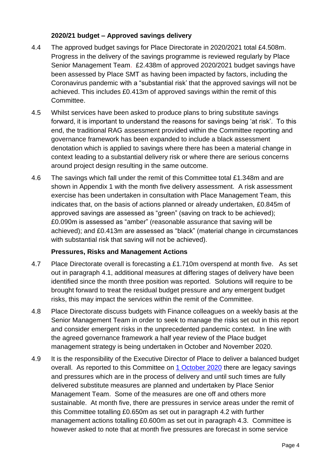#### **2020/21 budget – Approved savings delivery**

- 4.4 The approved budget savings for Place Directorate in 2020/2021 total £4.508m. Progress in the delivery of the savings programme is reviewed regularly by Place Senior Management Team. £2.438m of approved 2020/2021 budget savings have been assessed by Place SMT as having been impacted by factors, including the Coronavirus pandemic with a "substantial risk' that the approved savings will not be achieved. This includes £0.413m of approved savings within the remit of this Committee.
- 4.5 Whilst services have been asked to produce plans to bring substitute savings forward, it is important to understand the reasons for savings being 'at risk'. To this end, the traditional RAG assessment provided within the Committee reporting and governance framework has been expanded to include a black assessment denotation which is applied to savings where there has been a material change in context leading to a substantial delivery risk or where there are serious concerns around project design resulting in the same outcome.
- 4.6 The savings which fall under the remit of this Committee total £1.348m and are shown in Appendix 1 with the month five delivery assessment. A risk assessment exercise has been undertaken in consultation with Place Management Team, this indicates that, on the basis of actions planned or already undertaken, £0.845m of approved savings are assessed as "green" (saving on track to be achieved); £0.090m is assessed as "amber" (reasonable assurance that saving will be achieved); and £0.413m are assessed as "black" (material change in circumstances with substantial risk that saving will not be achieved).

#### **Pressures, Risks and Management Actions**

- 4.7 Place Directorate overall is forecasting a £1.710m overspend at month five. As set out in paragraph 4.1, additional measures at differing stages of delivery have been identified since the month three position was reported. Solutions will require to be brought forward to treat the residual budget pressure and any emergent budget risks, this may impact the services within the remit of the Committee.
- 4.8 Place Directorate discuss budgets with Finance colleagues on a weekly basis at the Senior Management Team in order to seek to manage the risks set out in this report and consider emergent risks in the unprecedented pandemic context. In line with the agreed governance framework a half year review of the Place budget management strategy is being undertaken in October and November 2020.
- 4.9 It is the responsibility of the Executive Director of Place to deliver a balanced budget overall. As reported to this Committee on [1 October 2020](https://democracy.edinburgh.gov.uk/documents/s26619/7.6%20-%20Revenue%20Monitoring%20Update%2020192020%20Provisional%20out-turn%20and%2020202021%20Month%20three%20position.pdf) there are legacy savings and pressures which are in the process of delivery and until such times are fully delivered substitute measures are planned and undertaken by Place Senior Management Team. Some of the measures are one off and others more sustainable. At month five, there are pressures in service areas under the remit of this Committee totalling £0.650m as set out in paragraph 4.2 with further management actions totalling £0.600m as set out in paragraph 4.3. Committee is however asked to note that at month five pressures are forecast in some service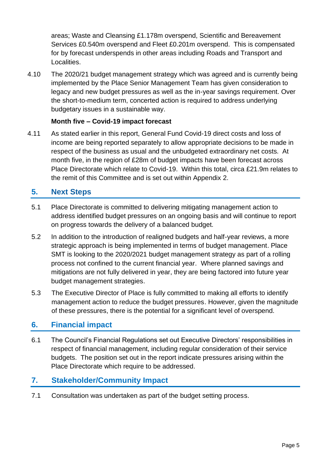areas; Waste and Cleansing £1.178m overspend, Scientific and Bereavement Services £0.540m overspend and Fleet £0.201m overspend. This is compensated for by forecast underspends in other areas including Roads and Transport and Localities.

4.10 The 2020/21 budget management strategy which was agreed and is currently being implemented by the Place Senior Management Team has given consideration to legacy and new budget pressures as well as the in-year savings requirement. Over the short-to-medium term, concerted action is required to address underlying budgetary issues in a sustainable way.

#### **Month five – Covid-19 impact forecast**

4.11 As stated earlier in this report, General Fund Covid-19 direct costs and loss of income are being reported separately to allow appropriate decisions to be made in respect of the business as usual and the unbudgeted extraordinary net costs. At month five, in the region of £28m of budget impacts have been forecast across Place Directorate which relate to Covid-19. Within this total, circa £21.9m relates to the remit of this Committee and is set out within Appendix 2.

## **5. Next Steps**

- 5.1 Place Directorate is committed to delivering mitigating management action to address identified budget pressures on an ongoing basis and will continue to report on progress towards the delivery of a balanced budget.
- 5.2 In addition to the introduction of realigned budgets and half-year reviews, a more strategic approach is being implemented in terms of budget management. Place SMT is looking to the 2020/2021 budget management strategy as part of a rolling process not confined to the current financial year. Where planned savings and mitigations are not fully delivered in year, they are being factored into future year budget management strategies.
- 5.3 The Executive Director of Place is fully committed to making all efforts to identify management action to reduce the budget pressures. However, given the magnitude of these pressures, there is the potential for a significant level of overspend.

#### **6. Financial impact**

6.1 The Council's Financial Regulations set out Executive Directors' responsibilities in respect of financial management, including regular consideration of their service budgets. The position set out in the report indicate pressures arising within the Place Directorate which require to be addressed.

## **7. Stakeholder/Community Impact**

7.1 Consultation was undertaken as part of the budget setting process.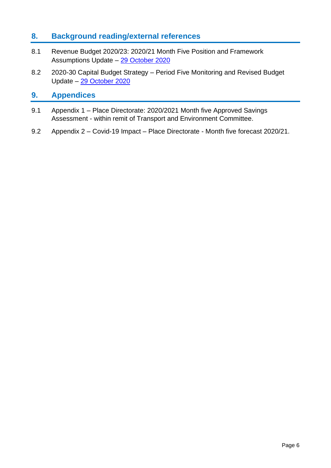### **8. Background reading/external references**

- 8.1 Revenue Budget 2020/23: 2020/21 Month Five Position and Framework Assumptions Update – [29 October 2020](https://democracy.edinburgh.gov.uk/documents/s26619/7.6%20-%20Revenue%20Monitoring%20Update%2020192020%20Provisional%20out-turn%20and%2020202021%20Month%20three%20position.pdf)
- 8.2 2020-30 Capital Budget Strategy Period Five Monitoring and Revised Budget Update – [29 October 2020](https://democracy.edinburgh.gov.uk/documents/s28347/7.2%20-%202020-30%20Capital%20Budget%20Strategy%20202021%20Period%20Five%20Monitoring%20and%20Revised%20Budget%20Update.pdf)

#### **9. Appendices**

- 9.1 Appendix 1 Place Directorate: 2020/2021 Month five Approved Savings Assessment - within remit of Transport and Environment Committee.
- 9.2 Appendix 2 Covid-19 Impact Place Directorate Month five forecast 2020/21.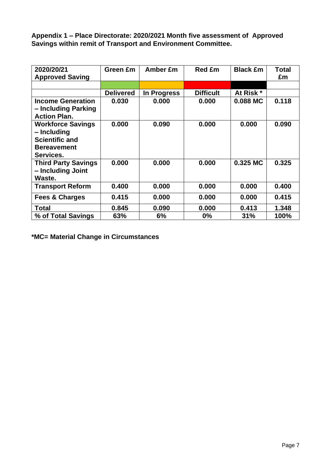**Appendix 1 – Place Directorate: 2020/2021 Month five assessment of Approved Savings within remit of Transport and Environment Committee.**

| 2020/20/21<br><b>Approved Saving</b>                                                                | Green £m         | Amber £m    | <b>Red £m</b>    | <b>Black £m</b> | Total<br>£m |
|-----------------------------------------------------------------------------------------------------|------------------|-------------|------------------|-----------------|-------------|
|                                                                                                     |                  |             |                  |                 |             |
|                                                                                                     | <b>Delivered</b> | In Progress | <b>Difficult</b> | At Risk *       |             |
| <b>Income Generation</b><br>- Including Parking<br><b>Action Plan.</b>                              | 0.030            | 0.000       | 0.000            | 0.088 MC        | 0.118       |
| <b>Workforce Savings</b><br>– Including<br><b>Scientific and</b><br><b>Bereavement</b><br>Services. | 0.000            | 0.090       | 0.000            | 0.000           | 0.090       |
| <b>Third Party Savings</b><br>- Including Joint<br>Waste.                                           | 0.000            | 0.000       | 0.000            | 0.325 MC        | 0.325       |
| <b>Transport Reform</b>                                                                             | 0.400            | 0.000       | 0.000            | 0.000           | 0.400       |
| <b>Fees &amp; Charges</b>                                                                           | 0.415            | 0.000       | 0.000            | 0.000           | 0.415       |
| <b>Total</b>                                                                                        | 0.845            | 0.090       | 0.000            | 0.413           | 1.348       |
| % of Total Savings                                                                                  | 63%              | 6%          | $0\%$            | 31%             | 100%        |

**\*MC= Material Change in Circumstances**